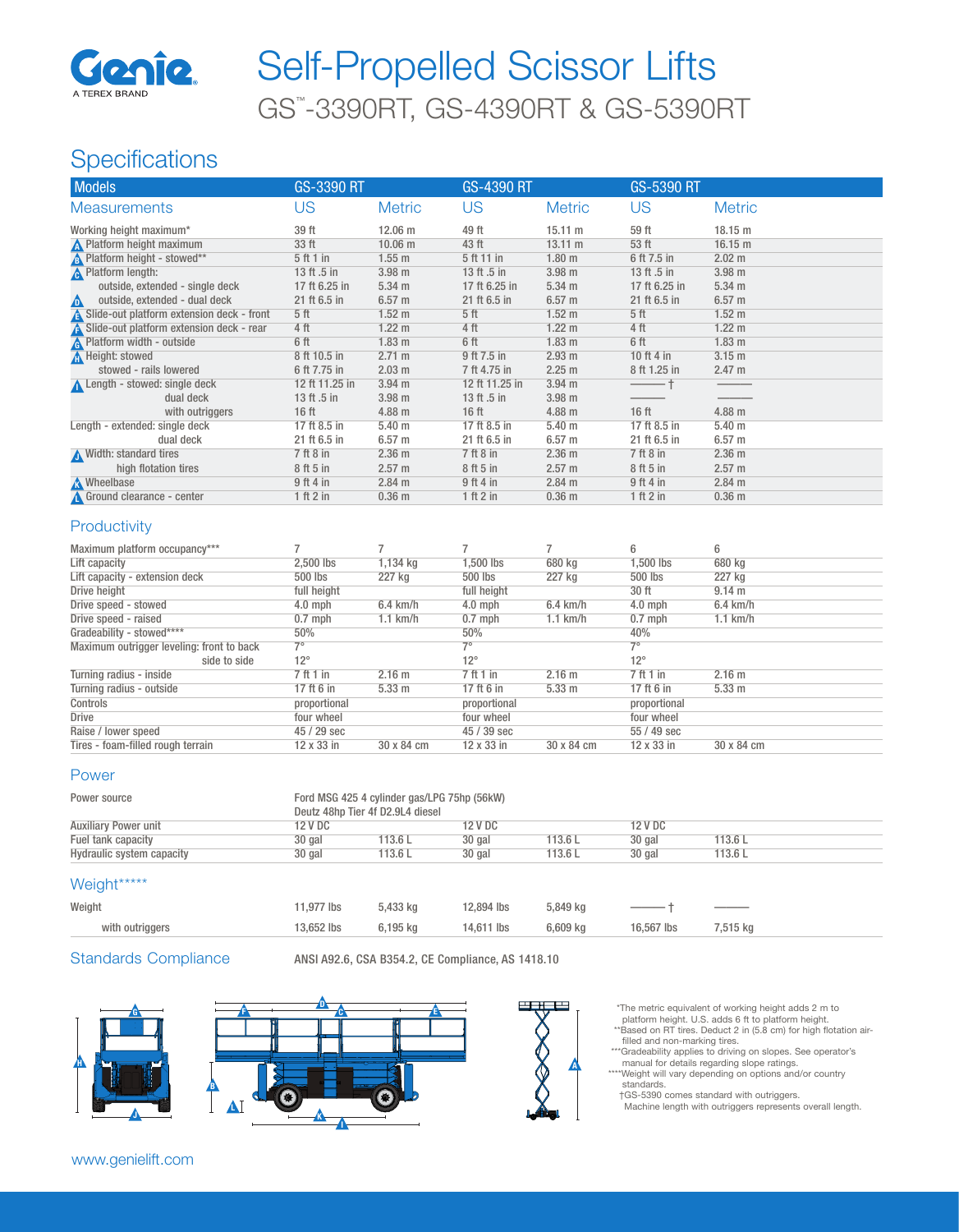

# GS™ -3390RT, GS-4390RT & GS-5390RT Self-Propelled Scissor Lifts

## **Specifications**

| <b>Models</b>                              | GS-3390 RT       |                   | <b>GS-4390 RT</b> |                   | GS-5390 RT       |                   |
|--------------------------------------------|------------------|-------------------|-------------------|-------------------|------------------|-------------------|
| <b>Measurements</b>                        | US               | <b>Metric</b>     | US                | <b>Metric</b>     | US               | <b>Metric</b>     |
| Working height maximum*                    | 39 ft            | 12.06 m           | 49 ft             | $15.11 \text{ m}$ | 59 ft            | 18.15 m           |
| N Platform height maximum                  | 33 ft            | 10.06 m           | 43 ft             | $13.11 \text{ m}$ | 53 ft            | 16.15 m           |
| <b>B</b> Platform height - stowed**        | 5 ft 1 in        | $1.55$ m          | 5 ft 11 in        | 1.80 <sub>m</sub> | 6 ft 7.5 in      | 2.02 m            |
| <b>A</b> Platform length:                  | 13 ft .5 in      | 3.98 <sub>m</sub> | 13 ft .5 in       | 3.98 <sub>m</sub> | 13 ft .5 in      | 3.98 <sub>m</sub> |
| outside, extended - single deck            | 17 ft 6.25 in    | 5.34 <sub>m</sub> | 17 ft 6.25 in     | $5.34 \text{ m}$  | 17 ft 6.25 in    | 5.34 <sub>m</sub> |
| outside, extended - dual deck<br>$\Delta$  | 21 ft 6.5 in     | 6.57 <sub>m</sub> | 21 ft 6.5 in      | 6.57 <sub>m</sub> | 21 ft 6.5 in     | $6.57$ m          |
| Slide-out platform extension deck - front  | 5 <sup>ft</sup>  | 1.52 <sub>m</sub> | 5 <sub>ft</sub>   | 1.52 <sub>m</sub> | 5 <sub>ft</sub>  | 1.52 <sub>m</sub> |
| A Slide-out platform extension deck - rear | 4 ft             | $1.22 \text{ m}$  | 4 ft              | $1.22 \text{ m}$  | 4 ft             | $1.22 \text{ m}$  |
| <b>A</b> Platform width - outside          | 6 ft             | 1.83 <sub>m</sub> | 6 ft              | 1.83 <sub>m</sub> | 6 ft             | 1.83 <sub>m</sub> |
| <b>A</b> Height: stowed                    | 8 ft 10.5 in     | $2.71 \text{ m}$  | 9 ft 7.5 in       | 2.93 m            | 10 ft 4 in       | 3.15 <sub>m</sub> |
| stowed - rails lowered                     | 6 ft 7.75 in     | 2.03 m            | 7 ft 4.75 in      | 2.25 m            | 8 ft 1.25 in     | 2.47 m            |
| Length - stowed: single deck               | 12 ft 11.25 in   | 3.94 <sub>m</sub> | 12 ft 11.25 in    | 3.94 <sub>m</sub> |                  |                   |
| dual deck                                  | 13 ft .5 in      | 3.98 <sub>m</sub> | 13 ft .5 in       | 3.98 <sub>m</sub> |                  |                   |
| with outriggers                            | 16 <sub>ft</sub> | $4.88$ m          | 16 <sub>ft</sub>  | 4.88 m            | 16 <sub>ft</sub> | $4.88$ m          |
| Length - extended: single deck             | 17 ft 8.5 in     | 5.40 <sub>m</sub> | 17 ft 8.5 in      | 5.40 <sub>m</sub> | 17 ft 8.5 in     | 5.40 <sub>m</sub> |
| dual deck                                  | 21 ft 6.5 in     | 6.57 <sub>m</sub> | 21 ft 6.5 in      | 6.57 <sub>m</sub> | 21 ft 6.5 in     | $6.57$ m          |
| Width: standard tires                      | $7$ ft $8$ in    | 2.36 <sub>m</sub> | $7$ ft $8$ in     | 2.36 <sub>m</sub> | $7$ ft $8$ in    | 2.36 <sub>m</sub> |
| high flotation tires                       | 8 ft 5 in        | 2.57 m            | 8 ft 5 in         | 2.57 m            | 8 ft 5 in        | 2.57 m            |
| <b>A</b> Wheelbase                         | 9 ft 4 in        | $2.84$ m          | 9 ft 4 in         | 2.84 m            | 9ft4in           | $2.84$ m          |
| Ground clearance - center                  | 1 ft 2 in        | 0.36 <sub>m</sub> | 1 ft 2 in         | 0.36 <sub>m</sub> | 1 ft 2 in        | 0.36 <sub>m</sub> |

#### **Productivity**

| Maximum platform occupancy***             |              |                    |              |                    | 6            | 6                |
|-------------------------------------------|--------------|--------------------|--------------|--------------------|--------------|------------------|
| Lift capacity                             | 2.500 lbs    | 1,134 kg           | 1.500 lbs    | 680 kg             | 1.500 lbs    | 680 kg           |
| Lift capacity - extension deck            | 500 lbs      | 227 kg             | 500 lbs      | 227 kg             | 500 lbs      | 227 kg           |
| Drive height                              | full height  |                    | full height  |                    | 30 ft        | 9.14 m           |
| Drive speed - stowed                      | $4.0$ mph    | $6.4 \text{ km/h}$ | $4.0$ mph    | $6.4 \text{ km/h}$ | $4.0$ mph    | $6.4$ km/h       |
| Drive speed - raised                      | $0.7$ mph    | $1.1$ km/h         | $0.7$ mph    | $1.1$ km/h         | $0.7$ mph    | $1.1$ km/h       |
| Gradeability - stowed****                 | 50%          |                    | 50%          |                    | 40%          |                  |
| Maximum outrigger leveling: front to back | $7^\circ$    |                    | 70           |                    | 7°           |                  |
| side to side                              | $12^{\circ}$ |                    | $12^{\circ}$ |                    | $12^{\circ}$ |                  |
| Turning radius - inside                   | 7 ft 1 in    | 2.16 m             | 7 ft 1 in    | 2.16 <sub>m</sub>  | 7 ft 1 in    | $2.16$ m         |
| Turning radius - outside                  | 17 ft 6 in   | 5.33 <sub>m</sub>  | 17 ft 6 in   | 5.33 <sub>m</sub>  | 17 ft 6 in   | $5.33 \text{ m}$ |
| Controls                                  | proportional |                    | proportional |                    | proportional |                  |
| Drive                                     | four wheel   |                    | four wheel   |                    | four wheel   |                  |
| Raise / lower speed                       | 45 / 29 sec  |                    | 45 / 39 sec  |                    | 55 / 49 sec  |                  |
| Tires - foam-filled rough terrain         | 12 x 33 in   | 30 x 84 cm         | 12 x 33 in   | 30 x 84 cm         | 12 x 33 in   | 30 x 84 cm       |

#### Power

| Power source                | Ford MSG 425 4 cylinder gas/LPG 75hp (56kW)<br>Deutz 48hp Tier 4f D2.9L4 diesel |         |         |         |         |         |  |
|-----------------------------|---------------------------------------------------------------------------------|---------|---------|---------|---------|---------|--|
| <b>Auxiliary Power unit</b> | 12 V DC                                                                         |         | 12 V DC |         | 12 V DC |         |  |
| Fuel tank capacity          | 30 gal                                                                          | 113.6 L | 30 gal  | 113.6 L | 30 gal  | 113.6L  |  |
| Hydraulic system capacity   | 30 gal                                                                          | 113.6 L | 30 gal  | 113.6 L | 30 gal  | 113.6 L |  |

#### Weight\*\*\*\*\*

| $\ldots$        |            |          |            |          |                            |                                |
|-----------------|------------|----------|------------|----------|----------------------------|--------------------------------|
| Weight          | 11.977 lbs | 5.433 kg | 12,894 lbs | 5.849 ka | $\overline{\phantom{0}}$ + | $\overbrace{\hspace{25mm}}^{}$ |
| with outriggers | 13.652 lbs | 6.195 ka | 14,611 lbs | 6,609 kg | 16,567 lbs                 | 7.515 ka                       |
|                 |            |          |            |          |                            |                                |

Standards Compliance ANSI A92.6, CSA B354.2, CE Compliance, AS 1418.10







- \*The metric equivalent of working height adds 2 m to platform height. U.S. adds 6 ft to platform height. \*\*Based on RT tires. Deduct 2 in (5.8 cm) for high flotation air-
- filled and non-marking tires. \*\*\*Gradeability applies to driving on slopes. See operator's manual for details regarding slope ratings. \*Weight will vary depending on options and/or country standards.

†GS-5390 comes standard with outriggers. Machine length with outriggers represents overall length.